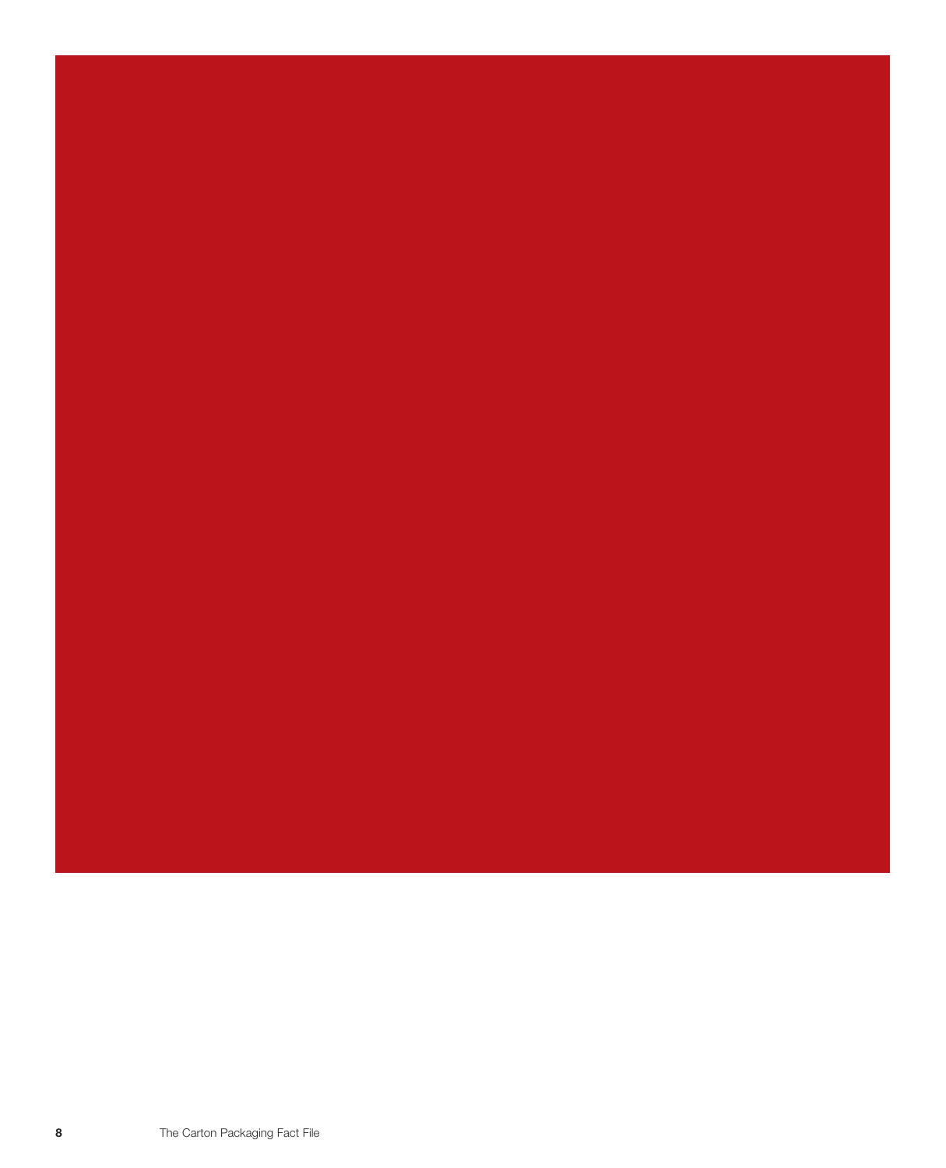The Carton Packaging Fact File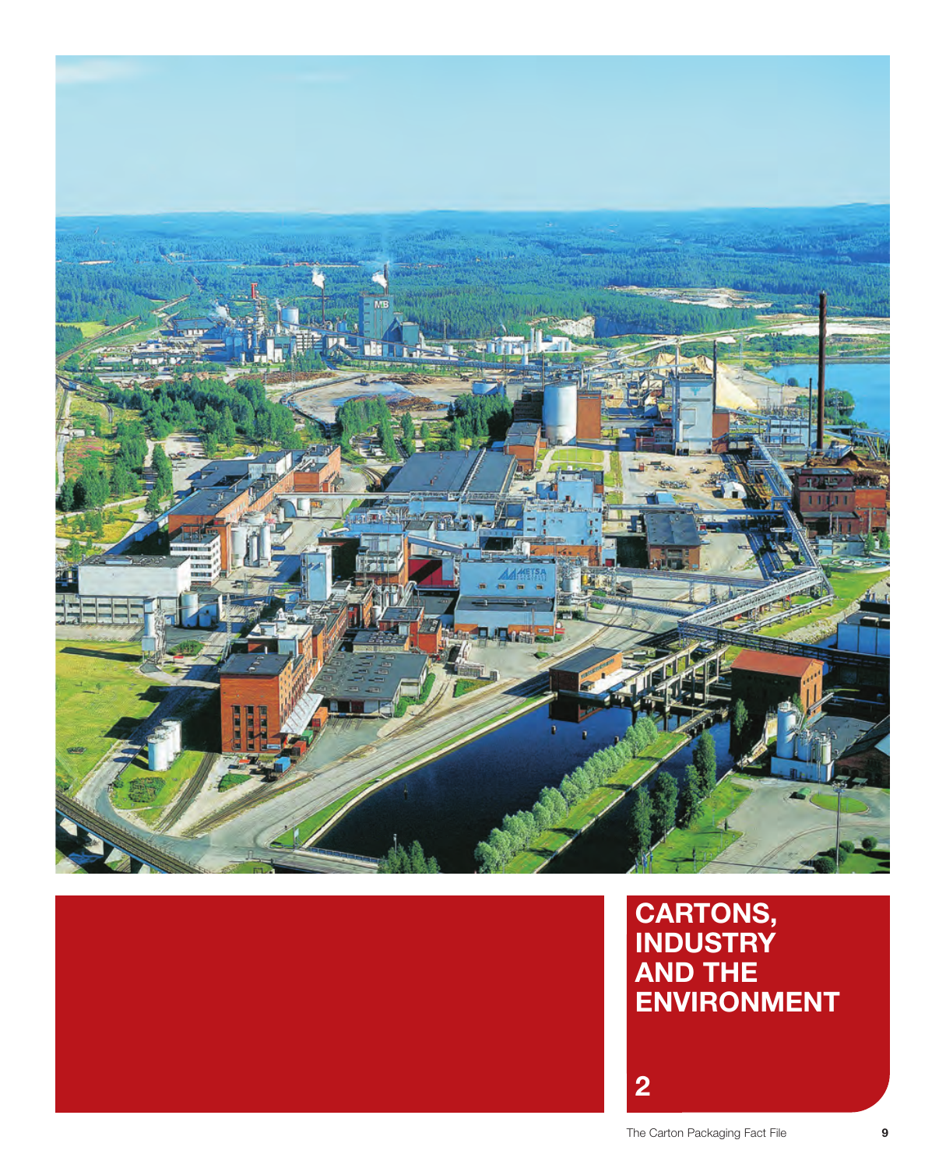



# **CARTONS, INDUSTRY AND THE ENVIRONMENT**

The Carton Packaging Fact File **9**

**2**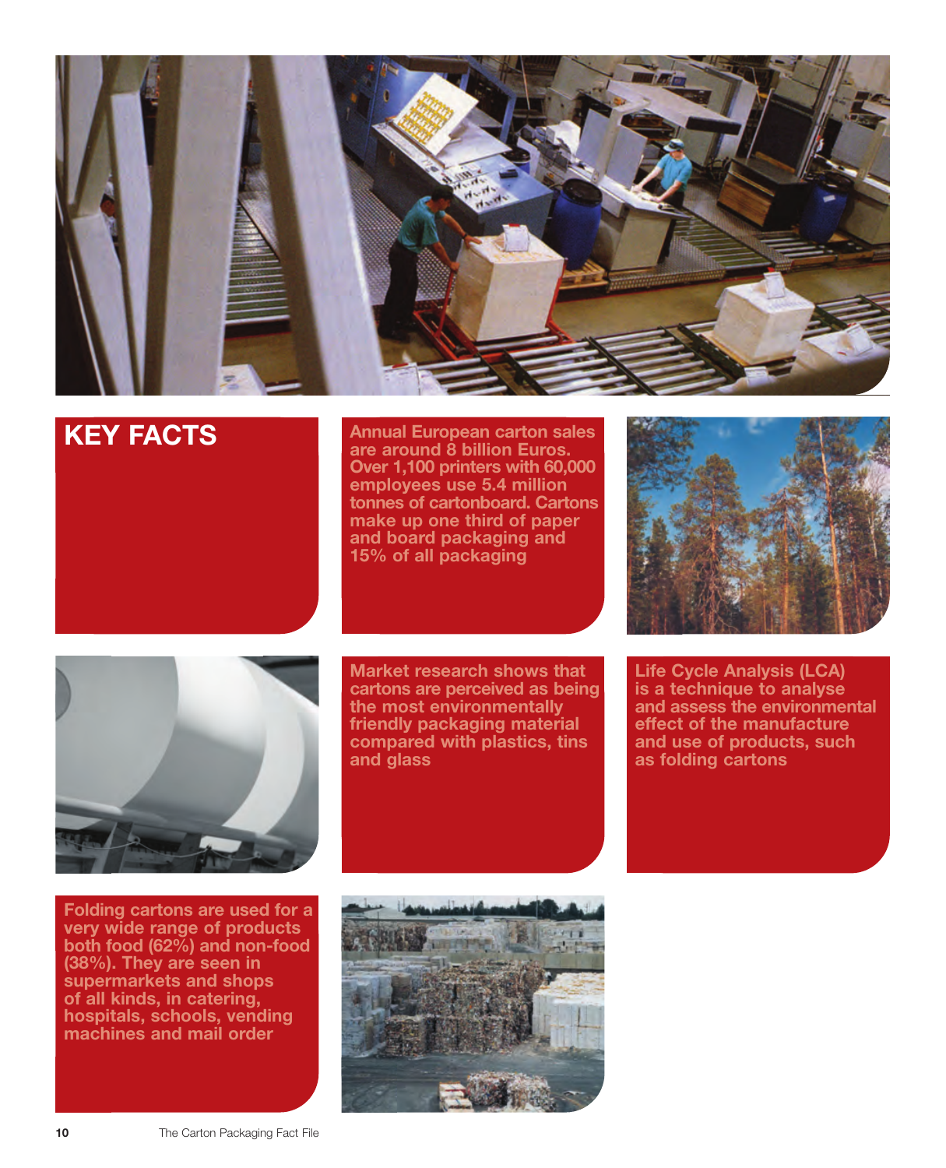

**KEY FACTS Annual European carton sales are around 8 billion Euros. Over 1,100 printers with 60,000 employees use 5.4 million tonnes of cartonboard. Cartons make up one third of paper and board packaging and 15% of all packaging**





**Folding cartons are used for a very wide range of products both food (62%) and non-food (38%). They are seen in supermarkets and shops of all kinds, in catering, hospitals, schools, vending machines and mail order**

**Market research shows that cartons are perceived as being the most environmentally friendly packaging material compared with plastics, tins and glass**

**Life Cycle Analysis (LCA) is a technique to analyse and assess the environmental effect of the manufacture and use of products, such as folding cartons**

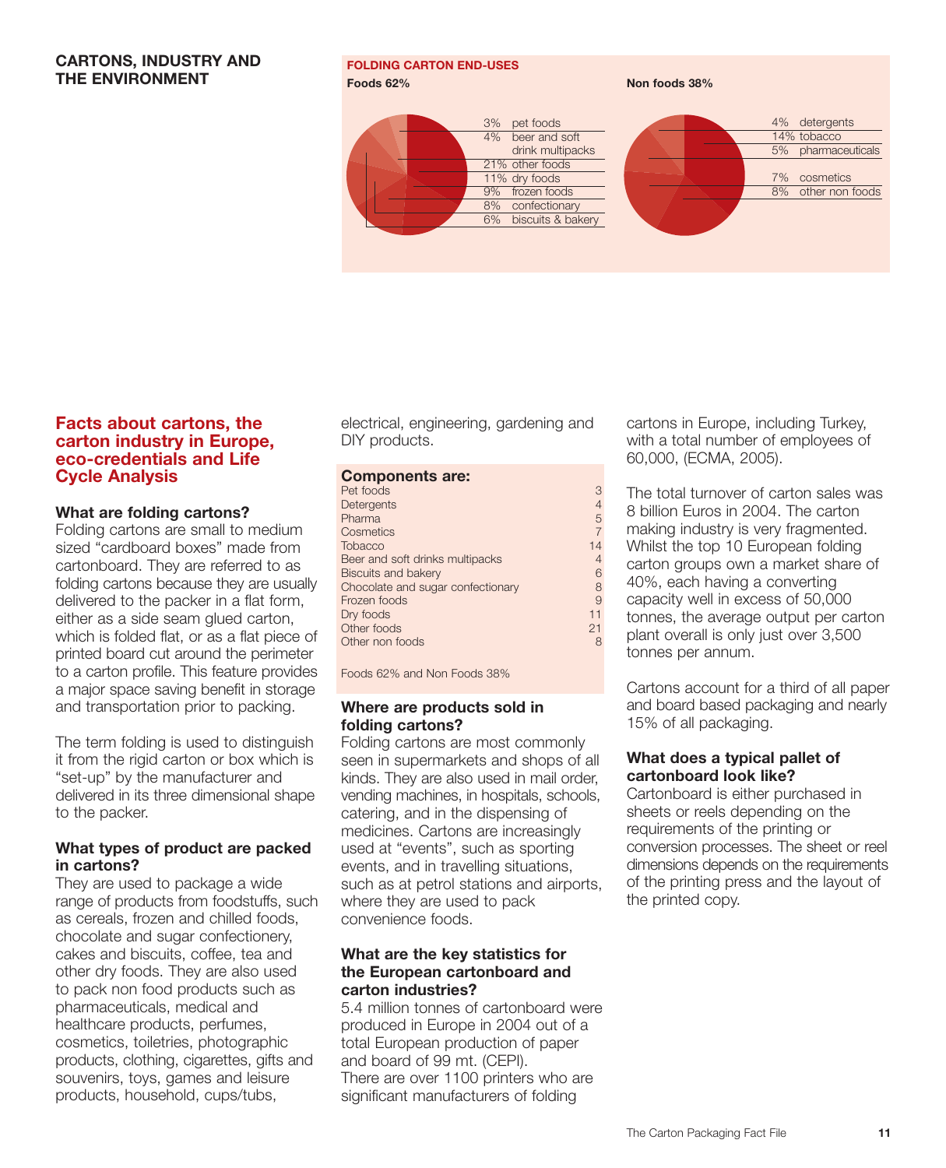# **CARTONS, INDUSTRY AND THE ENVIRONMENT Non foods 38%**

# **FOLDING CARTON END-USES**





# **Facts about cartons, the carton industry in Europe, eco-credentials and Life Cycle Analysis**

# **What are folding cartons?**

Folding cartons are small to medium sized "cardboard boxes" made from cartonboard. They are referred to as folding cartons because they are usually delivered to the packer in a flat form, either as a side seam glued carton. which is folded flat, or as a flat piece of printed board cut around the perimeter to a carton profile. This feature provides a major space saving benefit in storage and transportation prior to packing.

The term folding is used to distinguish it from the rigid carton or box which is "set-up" by the manufacturer and delivered in its three dimensional shape to the packer.

# **What types of product are packed in cartons?**

They are used to package a wide range of products from foodstuffs, such as cereals, frozen and chilled foods, chocolate and sugar confectionery, cakes and biscuits, coffee, tea and other dry foods. They are also used to pack non food products such as pharmaceuticals, medical and healthcare products, perfumes, cosmetics, toiletries, photographic products, clothing, cigarettes, gifts and souvenirs, toys, games and leisure products, household, cups/tubs,

electrical, engineering, gardening and DIY products.

# **Components are:**

| Pet foods                         | 3  |
|-----------------------------------|----|
| Detergents                        | 4  |
| Pharma                            | 5  |
| Cosmetics                         | 7  |
| Tobacco                           | 14 |
| Beer and soft drinks multipacks   | 4  |
| <b>Biscuits and bakery</b>        | 6  |
| Chocolate and sugar confectionary | 8  |
| Frozen foods                      | 9  |
| Dry foods                         | 11 |
| Other foods                       | 21 |
| Other non foods                   | 8  |
|                                   |    |

Foods 62% and Non Foods 38%

# **Where are products sold in folding cartons?**

Folding cartons are most commonly seen in supermarkets and shops of all kinds. They are also used in mail order, vending machines, in hospitals, schools, catering, and in the dispensing of medicines. Cartons are increasingly used at "events", such as sporting events, and in travelling situations, such as at petrol stations and airports, where they are used to pack convenience foods.

# **What are the key statistics for the European cartonboard and carton industries?**

5.4 million tonnes of cartonboard were produced in Europe in 2004 out of a total European production of paper and board of 99 mt. (CEPI). There are over 1100 printers who are significant manufacturers of folding

cartons in Europe, including Turkey, with a total number of employees of 60,000, (ECMA, 2005).

The total turnover of carton sales was 8 billion Euros in 2004. The carton making industry is very fragmented. Whilst the top 10 European folding carton groups own a market share of 40%, each having a converting capacity well in excess of 50,000 tonnes, the average output per carton plant overall is only just over 3,500 tonnes per annum.

Cartons account for a third of all paper and board based packaging and nearly 15% of all packaging.

# **What does a typical pallet of cartonboard look like?**

Cartonboard is either purchased in sheets or reels depending on the requirements of the printing or conversion processes. The sheet or reel dimensions depends on the requirements of the printing press and the layout of the printed copy.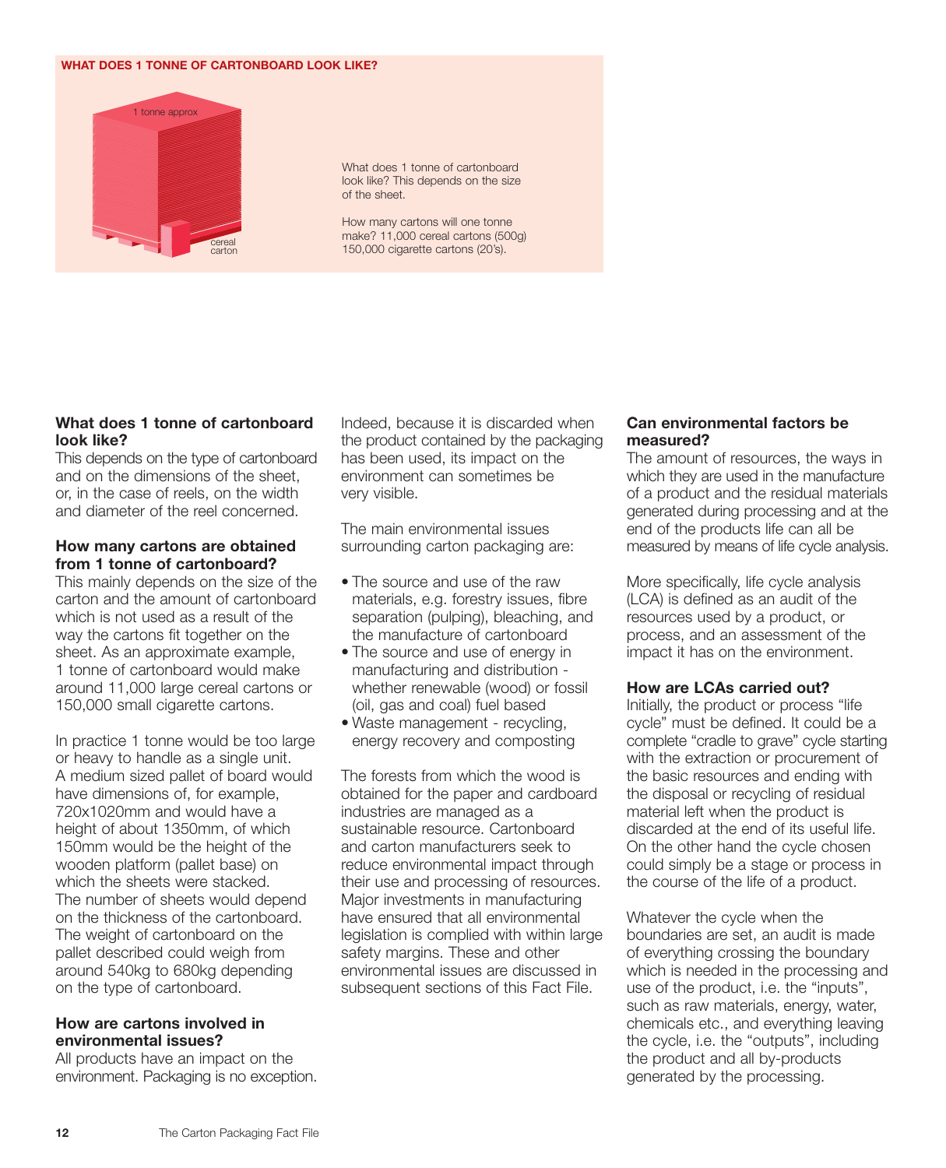#### **WHAT DOES 1 TONNE OF CARTONBOARD LOOK LIKE?**



What does 1 tonne of cartonboard look like? This depends on the size of the sheet.

How many cartons will one tonne make? 11,000 cereal cartons (500g) 150,000 cigarette cartons (20's).

# **What does 1 tonne of cartonboard look like?**

This depends on the type of cartonboard and on the dimensions of the sheet or, in the case of reels, on the width and diameter of the reel concerned.

# **How many cartons are obtained from 1 tonne of cartonboard?**

This mainly depends on the size of the carton and the amount of cartonboard which is not used as a result of the way the cartons fit together on the sheet. As an approximate example, 1 tonne of cartonboard would make around 11,000 large cereal cartons or 150,000 small cigarette cartons.

In practice 1 tonne would be too large or heavy to handle as a single unit. A medium sized pallet of board would have dimensions of, for example, 720x1020mm and would have a height of about 1350mm, of which 150mm would be the height of the wooden platform (pallet base) on which the sheets were stacked. The number of sheets would depend on the thickness of the cartonboard. The weight of cartonboard on the pallet described could weigh from around 540kg to 680kg depending on the type of cartonboard.

# **How are cartons involved in environmental issues?**

All products have an impact on the environment. Packaging is no exception. Indeed, because it is discarded when the product contained by the packaging has been used, its impact on the environment can sometimes be very visible.

The main environmental issues surrounding carton packaging are:

- The source and use of the raw materials, e.g. forestry issues, fibre separation (pulping), bleaching, and the manufacture of cartonboard
- The source and use of energy in manufacturing and distribution whether renewable (wood) or fossil (oil, gas and coal) fuel based
- Waste management recycling, energy recovery and composting

The forests from which the wood is obtained for the paper and cardboard industries are managed as a sustainable resource. Cartonboard and carton manufacturers seek to reduce environmental impact through their use and processing of resources. Major investments in manufacturing have ensured that all environmental legislation is complied with within large safety margins. These and other environmental issues are discussed in subsequent sections of this Fact File.

# **Can environmental factors be measured?**

The amount of resources, the ways in which they are used in the manufacture of a product and the residual materials generated during processing and at the end of the products life can all be measured by means of life cycle analysis.

More specifically, life cycle analysis (LCA) is defined as an audit of the resources used by a product, or process, and an assessment of the impact it has on the environment.

#### **How are LCAs carried out?**

Initially, the product or process "life cycle" must be defined. It could be a complete "cradle to grave" cycle starting with the extraction or procurement of the basic resources and ending with the disposal or recycling of residual material left when the product is discarded at the end of its useful life. On the other hand the cycle chosen could simply be a stage or process in the course of the life of a product.

Whatever the cycle when the boundaries are set, an audit is made of everything crossing the boundary which is needed in the processing and use of the product, i.e. the "inputs", such as raw materials, energy, water, chemicals etc., and everything leaving the cycle, i.e. the "outputs", including the product and all by-products generated by the processing.